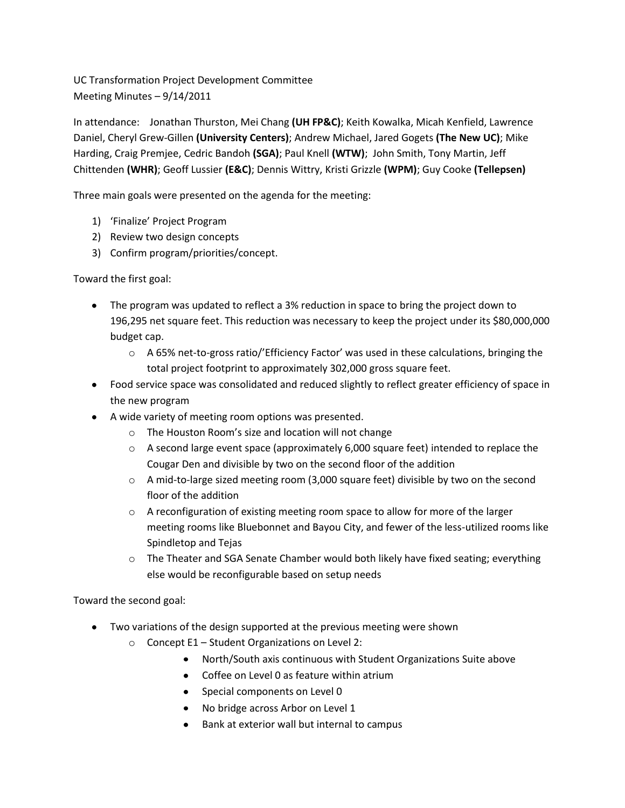UC Transformation Project Development Committee Meeting Minutes – 9/14/2011

In attendance: Jonathan Thurston, Mei Chang **(UH FP&C)**; Keith Kowalka, Micah Kenfield, Lawrence Daniel, Cheryl Grew-Gillen **(University Centers)**; Andrew Michael, Jared Gogets **(The New UC)**; Mike Harding, Craig Premjee, Cedric Bandoh **(SGA)**; Paul Knell **(WTW)**; John Smith, Tony Martin, Jeff Chittenden **(WHR)**; Geoff Lussier **(E&C)**; Dennis Wittry, Kristi Grizzle **(WPM)**; Guy Cooke **(Tellepsen)**

Three main goals were presented on the agenda for the meeting:

- 1) 'Finalize' Project Program
- 2) Review two design concepts
- 3) Confirm program/priorities/concept.

Toward the first goal:

- The program was updated to reflect a 3% reduction in space to bring the project down to 196,295 net square feet. This reduction was necessary to keep the project under its \$80,000,000 budget cap.
	- o A 65% net-to-gross ratio/'Efficiency Factor' was used in these calculations, bringing the total project footprint to approximately 302,000 gross square feet.
- Food service space was consolidated and reduced slightly to reflect greater efficiency of space in the new program
- A wide variety of meeting room options was presented.
	- o The Houston Room's size and location will not change
	- $\circ$  A second large event space (approximately 6,000 square feet) intended to replace the Cougar Den and divisible by two on the second floor of the addition
	- $\circ$  A mid-to-large sized meeting room (3,000 square feet) divisible by two on the second floor of the addition
	- $\circ$  A reconfiguration of existing meeting room space to allow for more of the larger meeting rooms like Bluebonnet and Bayou City, and fewer of the less-utilized rooms like Spindletop and Tejas
	- o The Theater and SGA Senate Chamber would both likely have fixed seating; everything else would be reconfigurable based on setup needs

Toward the second goal:

- Two variations of the design supported at the previous meeting were shown
	- $\circ$  Concept E1 Student Organizations on Level 2:
		- North/South axis continuous with Student Organizations Suite above
		- Coffee on Level 0 as feature within atrium
		- Special components on Level 0
		- No bridge across Arbor on Level 1
		- Bank at exterior wall but internal to campus